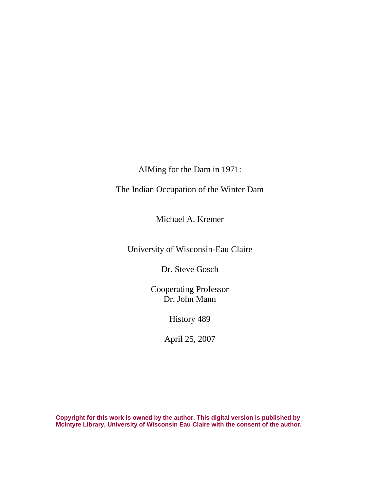AIMing for the Dam in 1971:

The Indian Occupation of the Winter Dam

Michael A. Kremer

University of Wisconsin-Eau Claire

Dr. Steve Gosch

Cooperating Professor Dr. John Mann

History 489

April 25, 2007

**Copyright for this work is owned by the author. This digital version is published by McIntyre Library, University of Wisconsin Eau Claire with the consent of the author.**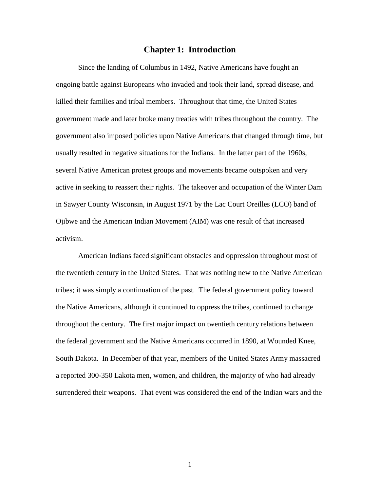#### **Chapter 1: Introduction**

Since the landing of Columbus in 1492, Native Americans have fought an ongoing battle against Europeans who invaded and took their land, spread disease, and killed their families and tribal members. Throughout that time, the United States government made and later broke many treaties with tribes throughout the country. The government also imposed policies upon Native Americans that changed through time, but usually resulted in negative situations for the Indians. In the latter part of the 1960s, several Native American protest groups and movements became outspoken and very active in seeking to reassert their rights. The takeover and occupation of the Winter Dam in Sawyer County Wisconsin, in August 1971 by the Lac Court Oreilles (LCO) band of Ojibwe and the American Indian Movement (AIM) was one result of that increased activism.

American Indians faced significant obstacles and oppression throughout most of the twentieth century in the United States. That was nothing new to the Native American tribes; it was simply a continuation of the past. The federal government policy toward the Native Americans, although it continued to oppress the tribes, continued to change throughout the century. The first major impact on twentieth century relations between the federal government and the Native Americans occurred in 1890, at Wounded Knee, South Dakota. In December of that year, members of the United States Army massacred a reported 300-350 Lakota men, women, and children, the majority of who had already surrendered their weapons. That event was considered the end of the Indian wars and the

1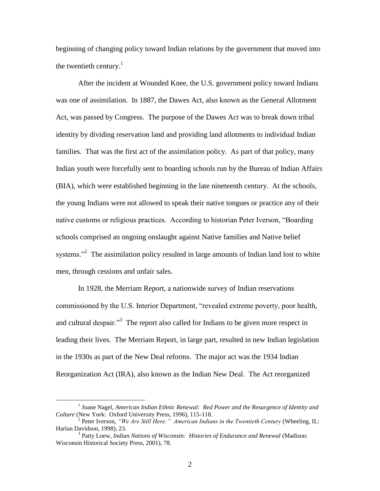beginning of changing policy toward Indian relations by the government that moved into the twentieth century. $<sup>1</sup>$ </sup>

After the incident at Wounded Knee, the U.S. government policy toward Indians was one of assimilation. In 1887, the Dawes Act, also known as the General Allotment Act, was passed by Congress. The purpose of the Dawes Act was to break down tribal identity by dividing reservation land and providing land allotments to individual Indian families. That was the first act of the assimilation policy. As part of that policy, many Indian youth were forcefully sent to boarding schools run by the Bureau of Indian Affairs (BIA), which were established beginning in the late nineteenth century. At the schools, the young Indians were not allowed to speak their native tongues or practice any of their native customs or religious practices. According to historian Peter Iverson, "Boarding schools comprised an ongoing onslaught against Native families and Native belief systems."<sup>2</sup> The assimilation policy resulted in large amounts of Indian land lost to white men, through cessions and unfair sales.

In 1928, the Merriam Report, a nationwide survey of Indian reservations commissioned by the U.S. Interior Department, "revealed extreme poverty, poor health, and cultural despair. $\mathbb{R}^3$  The report also called for Indians to be given more respect in leading their lives. The Merriam Report, in large part, resulted in new Indian legislation in the 1930s as part of the New Deal reforms. The major act was the 1934 Indian Reorganization Act (IRA), also known as the Indian New Deal. The Act reorganized

<sup>&</sup>lt;sup>1</sup> Joane Nagel, *American Indian Ethnic Renewal: Red Power and the Resurgence of Identity and Culture* (New York: Oxford University Press, 1996), 115-118.

<sup>2</sup> Peter Iverson, *"We Are Still Here:" American Indians in the Twentieth Century* (Wheeling, IL: Harlan Davidson, 1998), 23.

<sup>3</sup> Patty Loew, *Indian Nations of Wisconsin: Histories of Endurance and Renewal* (Madison: Wisconsin Historical Society Press, 2001), 78.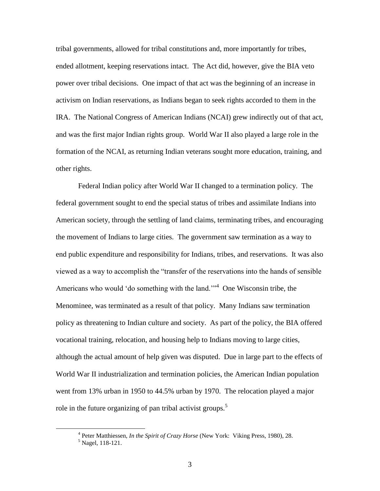tribal governments, allowed for tribal constitutions and, more importantly for tribes, ended allotment, keeping reservations intact. The Act did, however, give the BIA veto power over tribal decisions. One impact of that act was the beginning of an increase in activism on Indian reservations, as Indians began to seek rights accorded to them in the IRA. The National Congress of American Indians (NCAI) grew indirectly out of that act, and was the first major Indian rights group. World War II also played a large role in the formation of the NCAI, as returning Indian veterans sought more education, training, and other rights.

Federal Indian policy after World War II changed to a termination policy. The federal government sought to end the special status of tribes and assimilate Indians into American society, through the settling of land claims, terminating tribes, and encouraging the movement of Indians to large cities. The government saw termination as a way to end public expenditure and responsibility for Indians, tribes, and reservations. It was also viewed as a way to accomplish the "transfer of the reservations into the hands of sensible Americans who would 'do something with the land."<sup>4</sup> One Wisconsin tribe, the Menominee, was terminated as a result of that policy. Many Indians saw termination policy as threatening to Indian culture and society. As part of the policy, the BIA offered vocational training, relocation, and housing help to Indians moving to large cities, although the actual amount of help given was disputed. Due in large part to the effects of World War II industrialization and termination policies, the American Indian population went from 13% urban in 1950 to 44.5% urban by 1970. The relocation played a major role in the future organizing of pan tribal activist groups.<sup>5</sup>

<sup>4</sup> Peter Matthiessen, *In the Spirit of Crazy Horse* (New York: Viking Press, 1980), 28.

 $<sup>5</sup>$  Nagel, 118-121.</sup>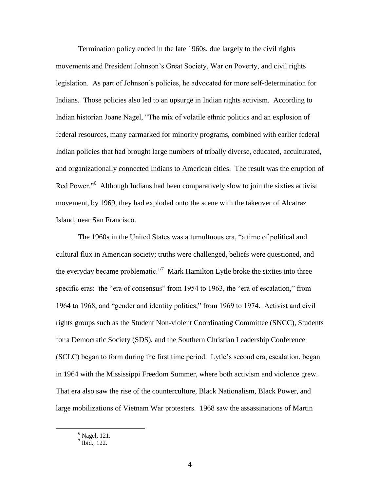Termination policy ended in the late 1960s, due largely to the civil rights movements and President Johnson"s Great Society, War on Poverty, and civil rights legislation. As part of Johnson"s policies, he advocated for more self-determination for Indians. Those policies also led to an upsurge in Indian rights activism. According to Indian historian Joane Nagel, "The mix of volatile ethnic politics and an explosion of federal resources, many earmarked for minority programs, combined with earlier federal Indian policies that had brought large numbers of tribally diverse, educated, acculturated, and organizationally connected Indians to American cities. The result was the eruption of Red Power."<sup>6</sup> Although Indians had been comparatively slow to join the sixties activist movement, by 1969, they had exploded onto the scene with the takeover of Alcatraz Island, near San Francisco.

The 1960s in the United States was a tumultuous era, "a time of political and cultural flux in American society; truths were challenged, beliefs were questioned, and the everyday became problematic."<sup>7</sup> Mark Hamilton Lytle broke the sixties into three specific eras: the "era of consensus" from 1954 to 1963, the "era of escalation," from 1964 to 1968, and "gender and identity politics," from 1969 to 1974. Activist and civil rights groups such as the Student Non-violent Coordinating Committee (SNCC), Students for a Democratic Society (SDS), and the Southern Christian Leadership Conference (SCLC) began to form during the first time period. Lytle"s second era, escalation, began in 1964 with the Mississippi Freedom Summer, where both activism and violence grew. That era also saw the rise of the counterculture, Black Nationalism, Black Power, and large mobilizations of Vietnam War protesters. 1968 saw the assassinations of Martin

 $<sup>6</sup>$  Nagel, 121.</sup>

 $<sup>7</sup>$  Ibid., 122.</sup>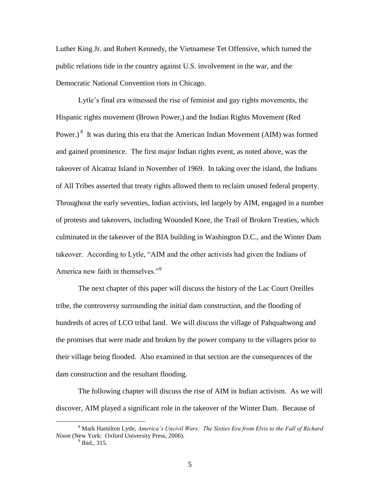Luther King Jr. and Robert Kennedy, the Vietnamese Tet Offensive, which turned the public relations tide in the country against U.S. involvement in the war, and the Democratic National Convention riots in Chicago.

Lytle"s final era witnessed the rise of feminist and gay rights movements, the Hispanic rights movement (Brown Power,) and the Indian Rights Movement (Red Power.) $8$  It was during this era that the American Indian Movement (AIM) was formed and gained prominence. The first major Indian rights event, as noted above, was the takeover of Alcatraz Island in November of 1969. In taking over the island, the Indians of All Tribes asserted that treaty rights allowed them to reclaim unused federal property. Throughout the early seventies, Indian activists, led largely by AIM, engaged in a number of protests and takeovers, including Wounded Knee, the Trail of Broken Treaties, which culminated in the takeover of the BIA building in Washington D.C., and the Winter Dam takeover. According to Lytle, "AIM and the other activists had given the Indians of America new faith in themselves."<sup>9</sup>

The next chapter of this paper will discuss the history of the Lac Court Oreilles tribe, the controversy surrounding the initial dam construction, and the flooding of hundreds of acres of LCO tribal land. We will discuss the village of Pahquahwong and the promises that were made and broken by the power company to the villagers prior to their village being flooded. Also examined in that section are the consequences of the dam construction and the resultant flooding.

The following chapter will discuss the rise of AIM in Indian activism. As we will discover, AIM played a significant role in the takeover of the Winter Dam. Because of

<sup>8</sup> Mark Hamilton Lytle, *America's Uncivil Wars: The Sixties Era from Elvis to the Fall of Richard Nixon* (New York: Oxford University Press, 2006).

 $<sup>9</sup>$  Ibid., 315.</sup>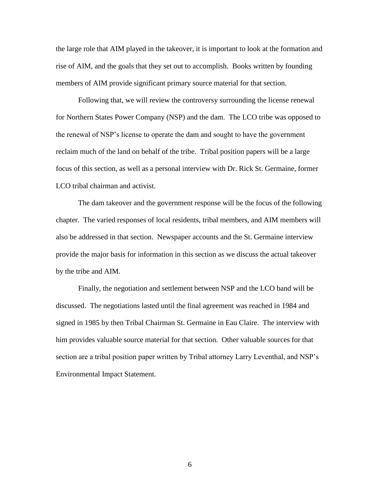the large role that AIM played in the takeover, it is important to look at the formation and rise of AIM, and the goals that they set out to accomplish. Books written by founding members of AIM provide significant primary source material for that section.

Following that, we will review the controversy surrounding the license renewal for Northern States Power Company (NSP) and the dam. The LCO tribe was opposed to the renewal of NSP"s license to operate the dam and sought to have the government reclaim much of the land on behalf of the tribe. Tribal position papers will be a large focus of this section, as well as a personal interview with Dr. Rick St. Germaine, former LCO tribal chairman and activist.

The dam takeover and the government response will be the focus of the following chapter. The varied responses of local residents, tribal members, and AIM members will also be addressed in that section. Newspaper accounts and the St. Germaine interview provide the major basis for information in this section as we discuss the actual takeover by the tribe and AIM.

Finally, the negotiation and settlement between NSP and the LCO band will be discussed. The negotiations lasted until the final agreement was reached in 1984 and signed in 1985 by then Tribal Chairman St. Germaine in Eau Claire. The interview with him provides valuable source material for that section. Other valuable sources for that section are a tribal position paper written by Tribal attorney Larry Leventhal, and NSP"s Environmental Impact Statement.

6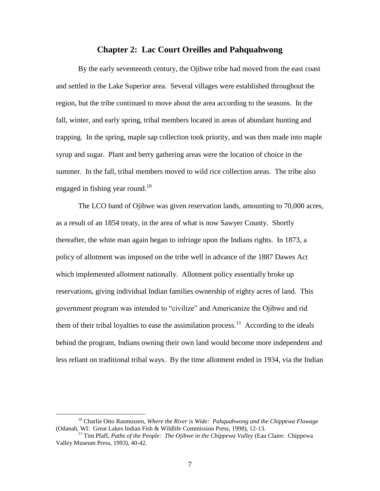#### **Chapter 2: Lac Court Oreilles and Pahquahwong**

By the early seventeenth century, the Ojibwe tribe had moved from the east coast and settled in the Lake Superior area. Several villages were established throughout the region, but the tribe continued to move about the area according to the seasons. In the fall, winter, and early spring, tribal members located in areas of abundant hunting and trapping. In the spring, maple sap collection took priority, and was then made into maple syrup and sugar. Plant and berry gathering areas were the location of choice in the summer. In the fall, tribal members moved to wild rice collection areas. The tribe also engaged in fishing year round.<sup>10</sup>

The LCO band of Ojibwe was given reservation lands, amounting to 70,000 acres, as a result of an 1854 treaty, in the area of what is now Sawyer County. Shortly thereafter, the white man again began to infringe upon the Indians rights. In 1873, a policy of allotment was imposed on the tribe well in advance of the 1887 Dawes Act which implemented allotment nationally. Allotment policy essentially broke up reservations, giving individual Indian families ownership of eighty acres of land. This government program was intended to "civilize" and Americanize the Ojibwe and rid them of their tribal loyalties to ease the assimilation process.<sup>11</sup> According to the ideals behind the program, Indians owning their own land would become more independent and less reliant on traditional tribal ways. By the time allotment ended in 1934, via the Indian

<sup>10</sup> Charlie Otto Rasmussen, *Where the River is Wide: Pahquahwong and the Chippewa Flowage*  (Odanah, WI: Great Lakes Indian Fish & Wildlife Commission Press, 1998), 12-13.

<sup>&</sup>lt;sup>11</sup> Tim Pfaff, *Paths of the People: The Ojibwe in the Chippewa Valley* (Eau Claire: Chippewa) Valley Museum Press, 1993), 40-42.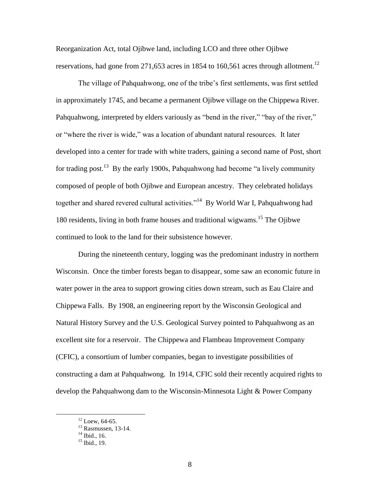Reorganization Act, total Ojibwe land, including LCO and three other Ojibwe reservations, had gone from 271,653 acres in 1854 to 160,561 acres through allotment.<sup>12</sup>

The village of Pahquahwong, one of the tribe"s first settlements, was first settled in approximately 1745, and became a permanent Ojibwe village on the Chippewa River. Pahquahwong, interpreted by elders variously as "bend in the river," "bay of the river," or "where the river is wide," was a location of abundant natural resources. It later developed into a center for trade with white traders, gaining a second name of Post, short for trading post.<sup>13</sup> By the early 1900s, Pahquahwong had become "a lively community composed of people of both Ojibwe and European ancestry. They celebrated holidays together and shared revered cultural activities."<sup>14</sup> By World War I, Pahquahwong had 180 residents, living in both frame houses and traditional wigwams.<sup>15</sup> The Ojibwe continued to look to the land for their subsistence however.

During the nineteenth century, logging was the predominant industry in northern Wisconsin. Once the timber forests began to disappear, some saw an economic future in water power in the area to support growing cities down stream, such as Eau Claire and Chippewa Falls. By 1908, an engineering report by the Wisconsin Geological and Natural History Survey and the U.S. Geological Survey pointed to Pahquahwong as an excellent site for a reservoir. The Chippewa and Flambeau Improvement Company (CFIC), a consortium of lumber companies, began to investigate possibilities of constructing a dam at Pahquahwong. In 1914, CFIC sold their recently acquired rights to develop the Pahquahwong dam to the Wisconsin-Minnesota Light & Power Company

 $12$  Loew, 64-65.

 $13$  Rasmussen, 13-14.

 $14$  Ibid., 16.

<sup>&</sup>lt;sup>15</sup> Ibid., 19.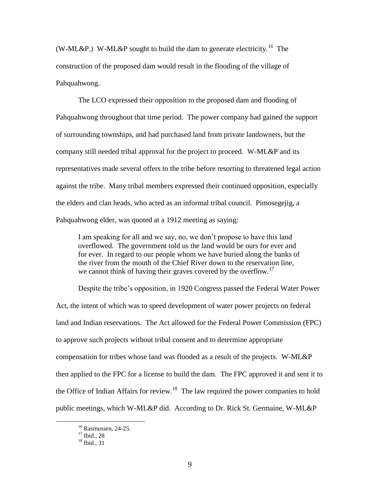(W-ML&P.) W-ML&P sought to build the dam to generate electricity.<sup>16</sup> The construction of the proposed dam would result in the flooding of the village of Pahquahwong.

The LCO expressed their opposition to the proposed dam and flooding of Pahquahwong throughout that time period. The power company had gained the support of surrounding townships, and had purchased land from private landowners, but the company still needed tribal approval for the project to proceed. W-ML&P and its representatives made several offers to the tribe before resorting to threatened legal action against the tribe. Many tribal members expressed their continued opposition, especially the elders and clan heads, who acted as an informal tribal council. Pimosegejig, a Pahquahwong elder, was quoted at a 1912 meeting as saying:

I am speaking for all and we say, no, we don"t propose to have this land overflowed. The government told us the land would be ours for ever and for ever. In regard to our people whom we have buried along the banks of the river from the mouth of the Chief River down to the reservation line, we cannot think of having their graves covered by the overflow.<sup>17</sup>

Despite the tribe's opposition, in 1920 Congress passed the Federal Water Power Act, the intent of which was to speed development of water power projects on federal land and Indian reservations. The Act allowed for the Federal Power Commission (FPC) to approve such projects without tribal consent and to determine appropriate compensation for tribes whose land was flooded as a result of the projects. W-ML&P then applied to the FPC for a license to build the dam. The FPC approved it and sent it to the Office of Indian Affairs for review.<sup>18</sup> The law required the power companies to hold public meetings, which W-ML&P did. According to Dr. Rick St. Germaine, W-ML&P

<sup>&</sup>lt;sup>16</sup> Rasmussen, 24-25.

 $17$  Ibid., 28

 $18$  Ibid., 31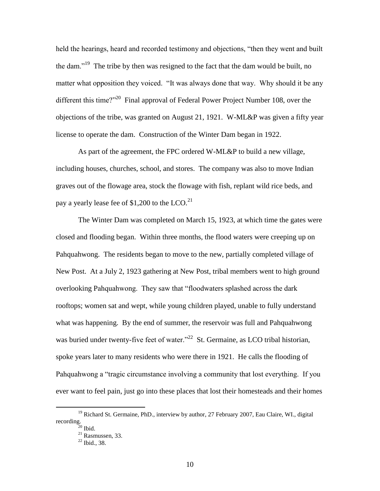held the hearings, heard and recorded testimony and objections, "then they went and built the dam."<sup>19</sup> The tribe by then was resigned to the fact that the dam would be built, no matter what opposition they voiced. "It was always done that way. Why should it be any different this time?"<sup>20</sup> Final approval of Federal Power Project Number 108, over the objections of the tribe, was granted on August 21, 1921. W-ML&P was given a fifty year license to operate the dam. Construction of the Winter Dam began in 1922.

As part of the agreement, the FPC ordered W-ML&P to build a new village, including houses, churches, school, and stores. The company was also to move Indian graves out of the flowage area, stock the flowage with fish, replant wild rice beds, and pay a yearly lease fee of \$1,200 to the  $LCO.<sup>21</sup>$ 

The Winter Dam was completed on March 15, 1923, at which time the gates were closed and flooding began. Within three months, the flood waters were creeping up on Pahquahwong. The residents began to move to the new, partially completed village of New Post. At a July 2, 1923 gathering at New Post, tribal members went to high ground overlooking Pahquahwong. They saw that "floodwaters splashed across the dark rooftops; women sat and wept, while young children played, unable to fully understand what was happening. By the end of summer, the reservoir was full and Pahquahwong was buried under twenty-five feet of water."<sup>22</sup> St. Germaine, as LCO tribal historian, spoke years later to many residents who were there in 1921. He calls the flooding of Pahquahwong a "tragic circumstance involving a community that lost everything. If you ever want to feel pain, just go into these places that lost their homesteads and their homes

<sup>&</sup>lt;sup>19</sup> Richard St. Germaine, PhD., interview by author, 27 February 2007, Eau Claire, WI., digital recording.

 $20$  Ibid.

 $^{21}$  Rasmussen, 33.

 $^{22}$  Ibid., 38.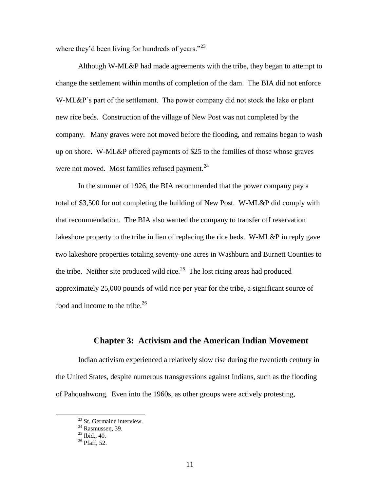where they'd been living for hundreds of years." $^{23}$ 

Although W-ML&P had made agreements with the tribe, they began to attempt to change the settlement within months of completion of the dam. The BIA did not enforce W-ML&P's part of the settlement. The power company did not stock the lake or plant new rice beds. Construction of the village of New Post was not completed by the company. Many graves were not moved before the flooding, and remains began to wash up on shore. W-ML&P offered payments of \$25 to the families of those whose graves were not moved. Most families refused payment. $^{24}$ 

In the summer of 1926, the BIA recommended that the power company pay a total of \$3,500 for not completing the building of New Post. W-ML&P did comply with that recommendation. The BIA also wanted the company to transfer off reservation lakeshore property to the tribe in lieu of replacing the rice beds. W-ML&P in reply gave two lakeshore properties totaling seventy-one acres in Washburn and Burnett Counties to the tribe. Neither site produced wild rice.<sup>25</sup> The lost ricing areas had produced approximately 25,000 pounds of wild rice per year for the tribe, a significant source of food and income to the tribe. $^{26}$ 

# **Chapter 3: Activism and the American Indian Movement**

Indian activism experienced a relatively slow rise during the twentieth century in the United States, despite numerous transgressions against Indians, such as the flooding of Pahquahwong. Even into the 1960s, as other groups were actively protesting,

 $23$  St. Germaine interview.

 $24$  Rasmussen, 39.

 $25$  Ibid., 40.

 $26$  Pfaff, 52.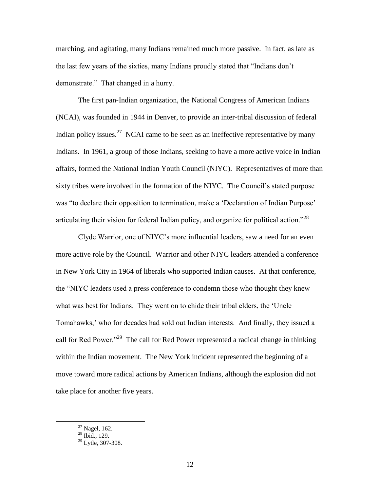marching, and agitating, many Indians remained much more passive. In fact, as late as the last few years of the sixties, many Indians proudly stated that "Indians don"t demonstrate." That changed in a hurry.

The first pan-Indian organization, the National Congress of American Indians (NCAI), was founded in 1944 in Denver, to provide an inter-tribal discussion of federal Indian policy issues.<sup>27</sup> NCAI came to be seen as an ineffective representative by many Indians. In 1961, a group of those Indians, seeking to have a more active voice in Indian affairs, formed the National Indian Youth Council (NIYC). Representatives of more than sixty tribes were involved in the formation of the NIYC. The Council's stated purpose was "to declare their opposition to termination, make a 'Declaration of Indian Purpose' articulating their vision for federal Indian policy, and organize for political action."<sup>28</sup>

Clyde Warrior, one of NIYC"s more influential leaders, saw a need for an even more active role by the Council. Warrior and other NIYC leaders attended a conference in New York City in 1964 of liberals who supported Indian causes. At that conference, the "NIYC leaders used a press conference to condemn those who thought they knew what was best for Indians. They went on to chide their tribal elders, the "Uncle Tomahawks," who for decades had sold out Indian interests. And finally, they issued a call for Red Power."<sup>29</sup> The call for Red Power represented a radical change in thinking within the Indian movement. The New York incident represented the beginning of a move toward more radical actions by American Indians, although the explosion did not take place for another five years.

 $27$  Nagel, 162.

<sup>28</sup> Ibid., 129.

<sup>29</sup> Lytle, 307-308.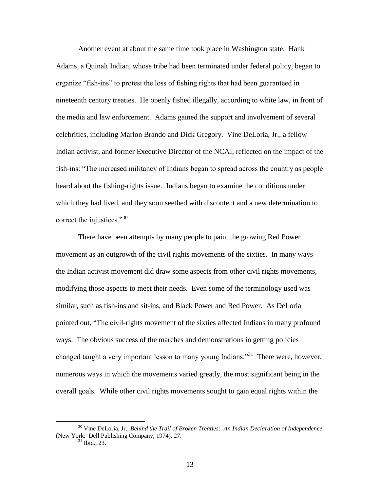Another event at about the same time took place in Washington state. Hank Adams, a Quinalt Indian, whose tribe had been terminated under federal policy, began to organize "fish-ins" to protest the loss of fishing rights that had been guaranteed in nineteenth century treaties. He openly fished illegally, according to white law, in front of the media and law enforcement. Adams gained the support and involvement of several celebrities, including Marlon Brando and Dick Gregory. Vine DeLoria, Jr., a fellow Indian activist, and former Executive Director of the NCAI, reflected on the impact of the fish-ins: "The increased militancy of Indians began to spread across the country as people heard about the fishing-rights issue. Indians began to examine the conditions under which they had lived, and they soon seethed with discontent and a new determination to correct the injustices."<sup>30</sup>

There have been attempts by many people to paint the growing Red Power movement as an outgrowth of the civil rights movements of the sixties. In many ways the Indian activist movement did draw some aspects from other civil rights movements, modifying those aspects to meet their needs. Even some of the terminology used was similar, such as fish-ins and sit-ins, and Black Power and Red Power. As DeLoria pointed out, "The civil-rights movement of the sixties affected Indians in many profound ways. The obvious success of the marches and demonstrations in getting policies changed taught a very important lesson to many young Indians."<sup>31</sup> There were, however, numerous ways in which the movements varied greatly, the most significant being in the overall goals. While other civil rights movements sought to gain equal rights within the

<sup>30</sup> Vine DeLoria, Jr., *Behind the Trail of Broken Treaties: An Indian Declaration of Independence* (New York: Dell Publishing Company, 1974), 27.

 $31$  Ibid., 23.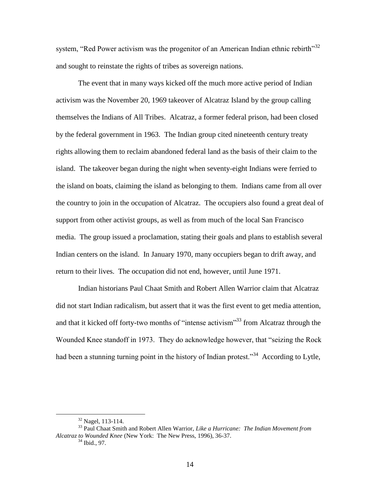system, "Red Power activism was the progenitor of an American Indian ethnic rebirth"<sup>32</sup> and sought to reinstate the rights of tribes as sovereign nations.

The event that in many ways kicked off the much more active period of Indian activism was the November 20, 1969 takeover of Alcatraz Island by the group calling themselves the Indians of All Tribes. Alcatraz, a former federal prison, had been closed by the federal government in 1963. The Indian group cited nineteenth century treaty rights allowing them to reclaim abandoned federal land as the basis of their claim to the island. The takeover began during the night when seventy-eight Indians were ferried to the island on boats, claiming the island as belonging to them. Indians came from all over the country to join in the occupation of Alcatraz. The occupiers also found a great deal of support from other activist groups, as well as from much of the local San Francisco media. The group issued a proclamation, stating their goals and plans to establish several Indian centers on the island. In January 1970, many occupiers began to drift away, and return to their lives. The occupation did not end, however, until June 1971.

Indian historians Paul Chaat Smith and Robert Allen Warrior claim that Alcatraz did not start Indian radicalism, but assert that it was the first event to get media attention, and that it kicked off forty-two months of "intense activism"<sup>33</sup> from Alcatraz through the Wounded Knee standoff in 1973. They do acknowledge however, that "seizing the Rock had been a stunning turning point in the history of Indian protest."<sup>34</sup> According to Lytle,

<sup>32</sup> Nagel, 113-114.

<sup>33</sup> Paul Chaat Smith and Robert Allen Warrior, *Like a Hurricane: The Indian Movement from Alcatraz to Wounded Knee* (New York: The New Press, 1996), 36-37.

 $34$  Ibid., 97.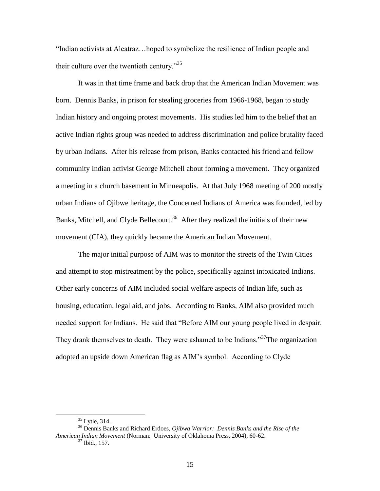"Indian activists at Alcatraz…hoped to symbolize the resilience of Indian people and their culture over the twentieth century."<sup>35</sup>

It was in that time frame and back drop that the American Indian Movement was born. Dennis Banks, in prison for stealing groceries from 1966-1968, began to study Indian history and ongoing protest movements. His studies led him to the belief that an active Indian rights group was needed to address discrimination and police brutality faced by urban Indians. After his release from prison, Banks contacted his friend and fellow community Indian activist George Mitchell about forming a movement. They organized a meeting in a church basement in Minneapolis. At that July 1968 meeting of 200 mostly urban Indians of Ojibwe heritage, the Concerned Indians of America was founded, led by Banks, Mitchell, and Clyde Bellecourt.<sup>36</sup> After they realized the initials of their new movement (CIA), they quickly became the American Indian Movement.

The major initial purpose of AIM was to monitor the streets of the Twin Cities and attempt to stop mistreatment by the police, specifically against intoxicated Indians. Other early concerns of AIM included social welfare aspects of Indian life, such as housing, education, legal aid, and jobs. According to Banks, AIM also provided much needed support for Indians. He said that "Before AIM our young people lived in despair. They drank themselves to death. They were ashamed to be Indians.<sup>37</sup>The organization adopted an upside down American flag as AIM"s symbol. According to Clyde

 $35$  Lytle, 314.

<sup>36</sup> Dennis Banks and Richard Erdoes, *Ojibwa Warrior: Dennis Banks and the Rise of the American Indian Movement* (Norman: University of Oklahoma Press, 2004), 60-62.

 $37$  Ibid., 157.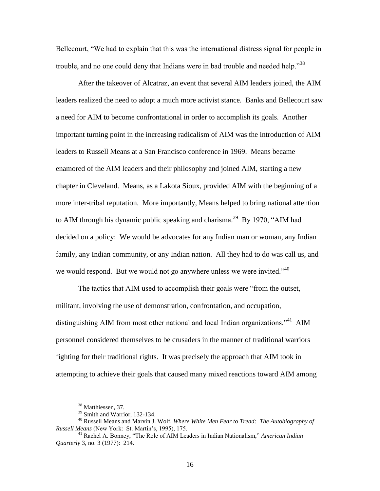Bellecourt, "We had to explain that this was the international distress signal for people in trouble, and no one could deny that Indians were in bad trouble and needed help."<sup>38</sup>

After the takeover of Alcatraz, an event that several AIM leaders joined, the AIM leaders realized the need to adopt a much more activist stance. Banks and Bellecourt saw a need for AIM to become confrontational in order to accomplish its goals. Another important turning point in the increasing radicalism of AIM was the introduction of AIM leaders to Russell Means at a San Francisco conference in 1969. Means became enamored of the AIM leaders and their philosophy and joined AIM, starting a new chapter in Cleveland. Means, as a Lakota Sioux, provided AIM with the beginning of a more inter-tribal reputation. More importantly, Means helped to bring national attention to AIM through his dynamic public speaking and charisma.<sup>39</sup> By 1970, "AIM had decided on a policy: We would be advocates for any Indian man or woman, any Indian family, any Indian community, or any Indian nation. All they had to do was call us, and we would respond. But we would not go anywhere unless we were invited."<sup>40</sup>

The tactics that AIM used to accomplish their goals were "from the outset, militant, involving the use of demonstration, confrontation, and occupation, distinguishing AIM from most other national and local Indian organizations."<sup>41</sup> AIM personnel considered themselves to be crusaders in the manner of traditional warriors fighting for their traditional rights. It was precisely the approach that AIM took in attempting to achieve their goals that caused many mixed reactions toward AIM among

<sup>38</sup> Matthiessen, 37.

<sup>&</sup>lt;sup>39</sup> Smith and Warrior, 132-134.

<sup>40</sup> Russell Means and Marvin J. Wolf, *Where White Men Fear to Tread: The Autobiography of Russell Means* (New York: St. Martin"s, 1995), 175.

<sup>41</sup> Rachel A. Bonney, "The Role of AIM Leaders in Indian Nationalism," *American Indian Quarterly* 3, no. 3 (1977): 214.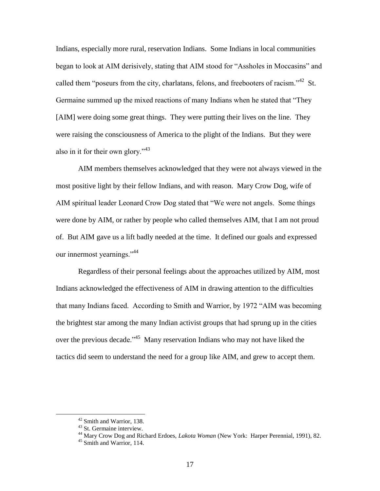Indians, especially more rural, reservation Indians. Some Indians in local communities began to look at AIM derisively, stating that AIM stood for "Assholes in Moccasins" and called them "poseurs from the city, charlatans, felons, and freebooters of racism."<sup>42</sup> St. Germaine summed up the mixed reactions of many Indians when he stated that "They [AIM] were doing some great things. They were putting their lives on the line. They were raising the consciousness of America to the plight of the Indians. But they were also in it for their own glory."<sup>43</sup>

AIM members themselves acknowledged that they were not always viewed in the most positive light by their fellow Indians, and with reason. Mary Crow Dog, wife of AIM spiritual leader Leonard Crow Dog stated that "We were not angels. Some things were done by AIM, or rather by people who called themselves AIM, that I am not proud of. But AIM gave us a lift badly needed at the time. It defined our goals and expressed our innermost yearnings."<sup>44</sup>

Regardless of their personal feelings about the approaches utilized by AIM, most Indians acknowledged the effectiveness of AIM in drawing attention to the difficulties that many Indians faced. According to Smith and Warrior, by 1972 "AIM was becoming the brightest star among the many Indian activist groups that had sprung up in the cities over the previous decade."<sup>45</sup> Many reservation Indians who may not have liked the tactics did seem to understand the need for a group like AIM, and grew to accept them.

<sup>&</sup>lt;sup>42</sup> Smith and Warrior, 138.

<sup>&</sup>lt;sup>43</sup> St. Germaine interview.

<sup>44</sup> Mary Crow Dog and Richard Erdoes, *Lakota Woman* (New York: Harper Perennial, 1991), 82.

<sup>&</sup>lt;sup>45</sup> Smith and Warrior, 114.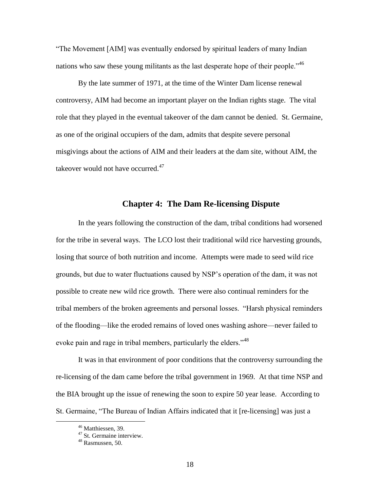"The Movement [AIM] was eventually endorsed by spiritual leaders of many Indian nations who saw these young militants as the last desperate hope of their people.<sup>746</sup>

By the late summer of 1971, at the time of the Winter Dam license renewal controversy, AIM had become an important player on the Indian rights stage. The vital role that they played in the eventual takeover of the dam cannot be denied. St. Germaine, as one of the original occupiers of the dam, admits that despite severe personal misgivings about the actions of AIM and their leaders at the dam site, without AIM, the takeover would not have occurred. $47$ 

### **Chapter 4: The Dam Re-licensing Dispute**

In the years following the construction of the dam, tribal conditions had worsened for the tribe in several ways. The LCO lost their traditional wild rice harvesting grounds, losing that source of both nutrition and income. Attempts were made to seed wild rice grounds, but due to water fluctuations caused by NSP"s operation of the dam, it was not possible to create new wild rice growth. There were also continual reminders for the tribal members of the broken agreements and personal losses. "Harsh physical reminders of the flooding—like the eroded remains of loved ones washing ashore—never failed to evoke pain and rage in tribal members, particularly the elders."<sup>48</sup>

It was in that environment of poor conditions that the controversy surrounding the re-licensing of the dam came before the tribal government in 1969. At that time NSP and the BIA brought up the issue of renewing the soon to expire 50 year lease. According to St. Germaine, "The Bureau of Indian Affairs indicated that it [re-licensing] was just a

<sup>&</sup>lt;sup>46</sup> Matthiessen, 39.

<sup>&</sup>lt;sup>47</sup> St. Germaine interview.

 $48$  Rasmussen, 50.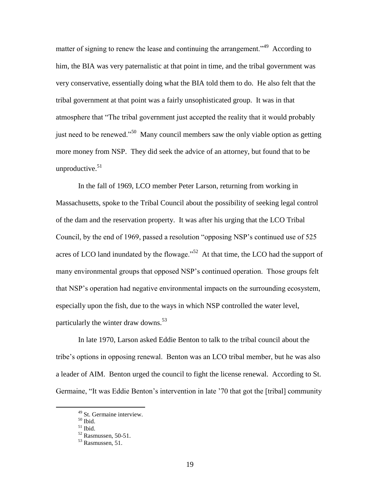matter of signing to renew the lease and continuing the arrangement."<sup>49</sup> According to him, the BIA was very paternalistic at that point in time, and the tribal government was very conservative, essentially doing what the BIA told them to do. He also felt that the tribal government at that point was a fairly unsophisticated group. It was in that atmosphere that "The tribal government just accepted the reality that it would probably just need to be renewed."<sup>50</sup> Many council members saw the only viable option as getting more money from NSP. They did seek the advice of an attorney, but found that to be unproductive. $51$ 

In the fall of 1969, LCO member Peter Larson, returning from working in Massachusetts, spoke to the Tribal Council about the possibility of seeking legal control of the dam and the reservation property. It was after his urging that the LCO Tribal Council, by the end of 1969, passed a resolution "opposing NSP"s continued use of 525 acres of LCO land inundated by the flowage."<sup>52</sup> At that time, the LCO had the support of many environmental groups that opposed NSP"s continued operation. Those groups felt that NSP"s operation had negative environmental impacts on the surrounding ecosystem, especially upon the fish, due to the ways in which NSP controlled the water level, particularly the winter draw downs.<sup>53</sup>

In late 1970, Larson asked Eddie Benton to talk to the tribal council about the tribe"s options in opposing renewal. Benton was an LCO tribal member, but he was also a leader of AIM. Benton urged the council to fight the license renewal. According to St. Germaine, "It was Eddie Benton's intervention in late '70 that got the [tribal] community

<sup>49</sup> St. Germaine interview.

 $50$  Ibid.

 $51$  Ibid.

 $52$  Rasmussen, 50-51.

<sup>53</sup> Rasmussen, 51.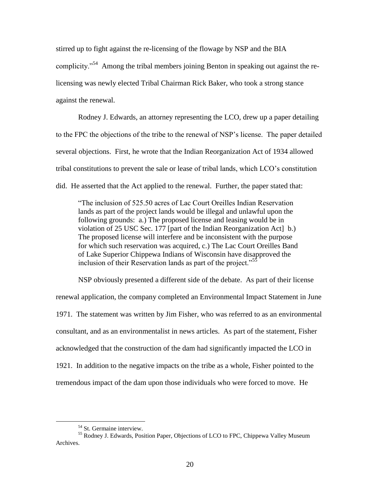stirred up to fight against the re-licensing of the flowage by NSP and the BIA complicity."<sup>54</sup> Among the tribal members joining Benton in speaking out against the relicensing was newly elected Tribal Chairman Rick Baker, who took a strong stance against the renewal.

Rodney J. Edwards, an attorney representing the LCO, drew up a paper detailing to the FPC the objections of the tribe to the renewal of NSP"s license. The paper detailed several objections. First, he wrote that the Indian Reorganization Act of 1934 allowed tribal constitutions to prevent the sale or lease of tribal lands, which LCO"s constitution did. He asserted that the Act applied to the renewal. Further, the paper stated that:

"The inclusion of 525.50 acres of Lac Court Oreilles Indian Reservation lands as part of the project lands would be illegal and unlawful upon the following grounds: a.) The proposed license and leasing would be in violation of 25 USC Sec. 177 [part of the Indian Reorganization Act] b.) The proposed license will interfere and be inconsistent with the purpose for which such reservation was acquired, c.) The Lac Court Oreilles Band of Lake Superior Chippewa Indians of Wisconsin have disapproved the inclusion of their Reservation lands as part of the project."<sup>55</sup>

NSP obviously presented a different side of the debate. As part of their license renewal application, the company completed an Environmental Impact Statement in June 1971. The statement was written by Jim Fisher, who was referred to as an environmental consultant, and as an environmentalist in news articles. As part of the statement, Fisher acknowledged that the construction of the dam had significantly impacted the LCO in 1921. In addition to the negative impacts on the tribe as a whole, Fisher pointed to the tremendous impact of the dam upon those individuals who were forced to move. He

<sup>54</sup> St. Germaine interview.

<sup>&</sup>lt;sup>55</sup> Rodney J. Edwards, Position Paper, Objections of LCO to FPC, Chippewa Valley Museum Archives.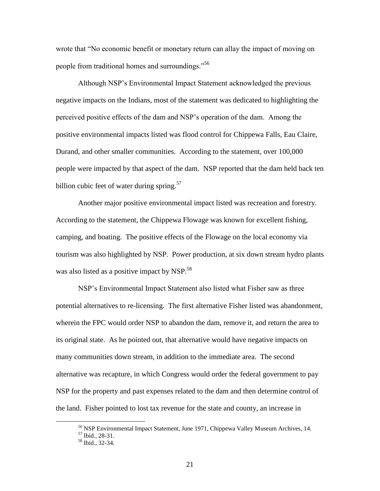wrote that "No economic benefit or monetary return can allay the impact of moving on people from traditional homes and surroundings."<sup>56</sup>

Although NSP"s Environmental Impact Statement acknowledged the previous negative impacts on the Indians, most of the statement was dedicated to highlighting the perceived positive effects of the dam and NSP"s operation of the dam. Among the positive environmental impacts listed was flood control for Chippewa Falls, Eau Claire, Durand, and other smaller communities. According to the statement, over 100,000 people were impacted by that aspect of the dam. NSP reported that the dam held back ten billion cubic feet of water during spring. $57$ 

Another major positive environmental impact listed was recreation and forestry. According to the statement, the Chippewa Flowage was known for excellent fishing, camping, and boating. The positive effects of the Flowage on the local economy via tourism was also highlighted by NSP. Power production, at six down stream hydro plants was also listed as a positive impact by NSP.<sup>58</sup>

NSP"s Environmental Impact Statement also listed what Fisher saw as three potential alternatives to re-licensing. The first alternative Fisher listed was abandonment, wherein the FPC would order NSP to abandon the dam, remove it, and return the area to its original state. As he pointed out, that alternative would have negative impacts on many communities down stream, in addition to the immediate area. The second alternative was recapture, in which Congress would order the federal government to pay NSP for the property and past expenses related to the dam and then determine control of the land. Fisher pointed to lost tax revenue for the state and county, an increase in

<sup>&</sup>lt;sup>56</sup> NSP Environmental Impact Statement, June 1971, Chippewa Valley Museum Archives, 14.

<sup>57</sup> Ibid., 28-31.

<sup>58</sup> Ibid., 32-34.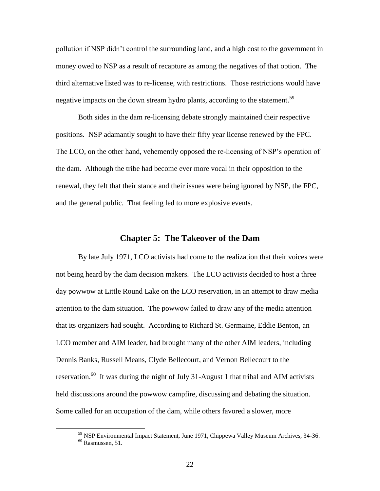pollution if NSP didn"t control the surrounding land, and a high cost to the government in money owed to NSP as a result of recapture as among the negatives of that option. The third alternative listed was to re-license, with restrictions. Those restrictions would have negative impacts on the down stream hydro plants, according to the statement.<sup>59</sup>

Both sides in the dam re-licensing debate strongly maintained their respective positions. NSP adamantly sought to have their fifty year license renewed by the FPC. The LCO, on the other hand, vehemently opposed the re-licensing of NSP"s operation of the dam. Although the tribe had become ever more vocal in their opposition to the renewal, they felt that their stance and their issues were being ignored by NSP, the FPC, and the general public. That feeling led to more explosive events.

### **Chapter 5: The Takeover of the Dam**

By late July 1971, LCO activists had come to the realization that their voices were not being heard by the dam decision makers. The LCO activists decided to host a three day powwow at Little Round Lake on the LCO reservation, in an attempt to draw media attention to the dam situation. The powwow failed to draw any of the media attention that its organizers had sought. According to Richard St. Germaine, Eddie Benton, an LCO member and AIM leader, had brought many of the other AIM leaders, including Dennis Banks, Russell Means, Clyde Bellecourt, and Vernon Bellecourt to the reservation.<sup>60</sup> It was during the night of July 31-August 1 that tribal and AIM activists held discussions around the powwow campfire, discussing and debating the situation. Some called for an occupation of the dam, while others favored a slower, more

<sup>59</sup> NSP Environmental Impact Statement, June 1971, Chippewa Valley Museum Archives, 34-36.  $60$  Rasmussen, 51.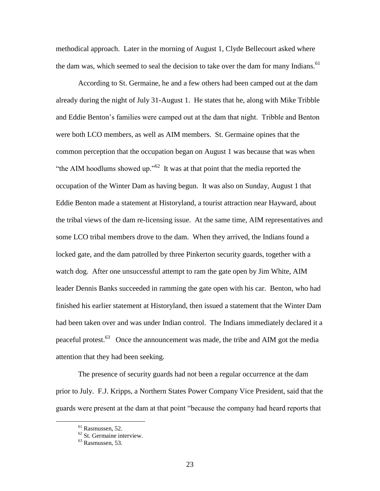methodical approach. Later in the morning of August 1, Clyde Bellecourt asked where the dam was, which seemed to seal the decision to take over the dam for many Indians.<sup>61</sup>

According to St. Germaine, he and a few others had been camped out at the dam already during the night of July 31-August 1. He states that he, along with Mike Tribble and Eddie Benton"s families were camped out at the dam that night. Tribble and Benton were both LCO members, as well as AIM members. St. Germaine opines that the common perception that the occupation began on August 1 was because that was when "the AIM hoodlums showed up."<sup>62</sup> It was at that point that the media reported the occupation of the Winter Dam as having begun. It was also on Sunday, August 1 that Eddie Benton made a statement at Historyland, a tourist attraction near Hayward, about the tribal views of the dam re-licensing issue. At the same time, AIM representatives and some LCO tribal members drove to the dam. When they arrived, the Indians found a locked gate, and the dam patrolled by three Pinkerton security guards, together with a watch dog. After one unsuccessful attempt to ram the gate open by Jim White, AIM leader Dennis Banks succeeded in ramming the gate open with his car. Benton, who had finished his earlier statement at Historyland, then issued a statement that the Winter Dam had been taken over and was under Indian control. The Indians immediately declared it a peaceful protest.<sup>63</sup> Once the announcement was made, the tribe and AIM got the media attention that they had been seeking.

The presence of security guards had not been a regular occurrence at the dam prior to July. F.J. Kripps, a Northern States Power Company Vice President, said that the guards were present at the dam at that point "because the company had heard reports that

<sup>&</sup>lt;sup>61</sup> Rasmussen, 52.

<sup>&</sup>lt;sup>62</sup> St. Germaine interview.

 $63$  Rasmussen, 53.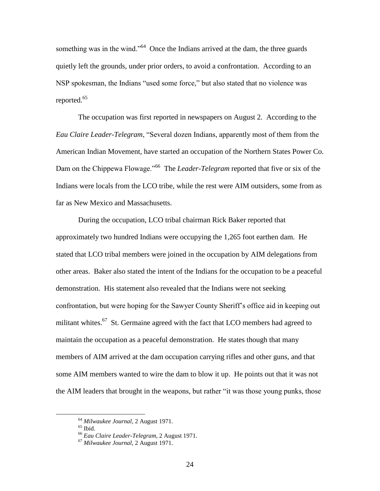something was in the wind."<sup>64</sup> Once the Indians arrived at the dam, the three guards quietly left the grounds, under prior orders, to avoid a confrontation. According to an NSP spokesman, the Indians "used some force," but also stated that no violence was reported.<sup>65</sup>

The occupation was first reported in newspapers on August 2. According to the *Eau Claire Leader-Telegram*, "Several dozen Indians, apparently most of them from the American Indian Movement, have started an occupation of the Northern States Power Co. Dam on the Chippewa Flowage."<sup>66</sup> The *Leader-Telegram* reported that five or six of the Indians were locals from the LCO tribe, while the rest were AIM outsiders, some from as far as New Mexico and Massachusetts.

During the occupation, LCO tribal chairman Rick Baker reported that approximately two hundred Indians were occupying the 1,265 foot earthen dam. He stated that LCO tribal members were joined in the occupation by AIM delegations from other areas. Baker also stated the intent of the Indians for the occupation to be a peaceful demonstration. His statement also revealed that the Indians were not seeking confrontation, but were hoping for the Sawyer County Sheriff"s office aid in keeping out militant whites. $67$  St. Germaine agreed with the fact that LCO members had agreed to maintain the occupation as a peaceful demonstration. He states though that many members of AIM arrived at the dam occupation carrying rifles and other guns, and that some AIM members wanted to wire the dam to blow it up. He points out that it was not the AIM leaders that brought in the weapons, but rather "it was those young punks, those

<sup>64</sup> *Milwaukee Journal*, 2 August 1971.

 $65$  Ibid.

<sup>66</sup> *Eau Claire Leader-Telegram*, 2 August 1971.

<sup>67</sup> *Milwaukee Journal*, 2 August 1971.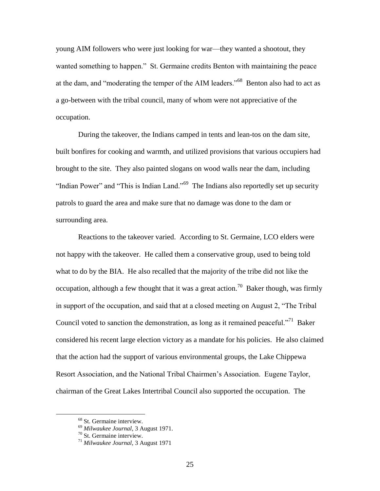young AIM followers who were just looking for war—they wanted a shootout, they wanted something to happen." St. Germaine credits Benton with maintaining the peace at the dam, and "moderating the temper of the AIM leaders."<sup>68</sup> Benton also had to act as a go-between with the tribal council, many of whom were not appreciative of the occupation.

During the takeover, the Indians camped in tents and lean-tos on the dam site, built bonfires for cooking and warmth, and utilized provisions that various occupiers had brought to the site. They also painted slogans on wood walls near the dam, including "Indian Power" and "This is Indian Land."<sup>69</sup> The Indians also reportedly set up security patrols to guard the area and make sure that no damage was done to the dam or surrounding area.

Reactions to the takeover varied. According to St. Germaine, LCO elders were not happy with the takeover. He called them a conservative group, used to being told what to do by the BIA. He also recalled that the majority of the tribe did not like the occupation, although a few thought that it was a great action.<sup>70</sup> Baker though, was firmly in support of the occupation, and said that at a closed meeting on August 2, "The Tribal Council voted to sanction the demonstration, as long as it remained peaceful."<sup>71</sup> Baker considered his recent large election victory as a mandate for his policies. He also claimed that the action had the support of various environmental groups, the Lake Chippewa Resort Association, and the National Tribal Chairmen"s Association. Eugene Taylor, chairman of the Great Lakes Intertribal Council also supported the occupation. The

<sup>68</sup> St. Germaine interview.

<sup>69</sup> *Milwaukee Journal*, 3 August 1971.

<sup>70</sup> St. Germaine interview.

<sup>71</sup> *Milwaukee Journal*, 3 August 1971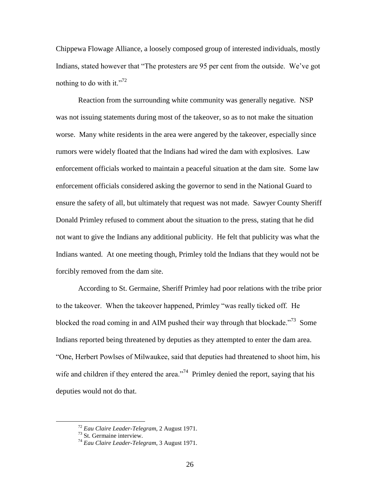Chippewa Flowage Alliance, a loosely composed group of interested individuals, mostly Indians, stated however that "The protesters are 95 per cent from the outside. We've got nothing to do with it."<sup>72</sup>

Reaction from the surrounding white community was generally negative. NSP was not issuing statements during most of the takeover, so as to not make the situation worse. Many white residents in the area were angered by the takeover, especially since rumors were widely floated that the Indians had wired the dam with explosives. Law enforcement officials worked to maintain a peaceful situation at the dam site. Some law enforcement officials considered asking the governor to send in the National Guard to ensure the safety of all, but ultimately that request was not made. Sawyer County Sheriff Donald Primley refused to comment about the situation to the press, stating that he did not want to give the Indians any additional publicity. He felt that publicity was what the Indians wanted. At one meeting though, Primley told the Indians that they would not be forcibly removed from the dam site.

According to St. Germaine, Sheriff Primley had poor relations with the tribe prior to the takeover. When the takeover happened, Primley "was really ticked off. He blocked the road coming in and AIM pushed their way through that blockade."<sup>73</sup> Some Indians reported being threatened by deputies as they attempted to enter the dam area. "One, Herbert Powlses of Milwaukee, said that deputies had threatened to shoot him, his wife and children if they entered the area."<sup>74</sup> Primley denied the report, saying that his deputies would not do that.

<sup>72</sup> *Eau Claire Leader-Telegram*, 2 August 1971.

<sup>&</sup>lt;sup>73</sup> St. Germaine interview.

<sup>74</sup> *Eau Claire Leader-Telegram*, 3 August 1971.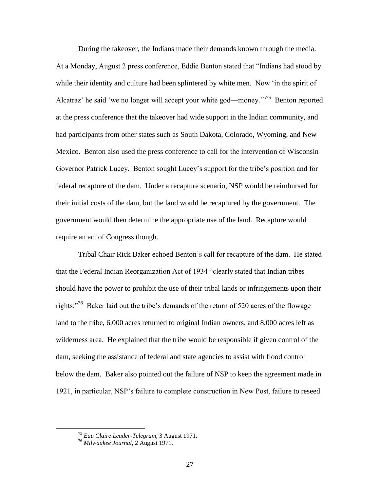During the takeover, the Indians made their demands known through the media. At a Monday, August 2 press conference, Eddie Benton stated that "Indians had stood by while their identity and culture had been splintered by white men. Now 'in the spirit of Alcatraz' he said 'we no longer will accept your white god—money."<sup>75</sup> Benton reported at the press conference that the takeover had wide support in the Indian community, and had participants from other states such as South Dakota, Colorado, Wyoming, and New Mexico. Benton also used the press conference to call for the intervention of Wisconsin Governor Patrick Lucey. Benton sought Lucey"s support for the tribe"s position and for federal recapture of the dam. Under a recapture scenario, NSP would be reimbursed for their initial costs of the dam, but the land would be recaptured by the government. The government would then determine the appropriate use of the land. Recapture would require an act of Congress though.

Tribal Chair Rick Baker echoed Benton"s call for recapture of the dam. He stated that the Federal Indian Reorganization Act of 1934 "clearly stated that Indian tribes should have the power to prohibit the use of their tribal lands or infringements upon their rights."<sup>76</sup> Baker laid out the tribe's demands of the return of 520 acres of the flowage land to the tribe, 6,000 acres returned to original Indian owners, and 8,000 acres left as wilderness area. He explained that the tribe would be responsible if given control of the dam, seeking the assistance of federal and state agencies to assist with flood control below the dam. Baker also pointed out the failure of NSP to keep the agreement made in 1921, in particular, NSP"s failure to complete construction in New Post, failure to reseed

<sup>75</sup> *Eau Claire Leader-Telegram*, 3 August 1971.

<sup>76</sup> *Milwaukee Journal*, 2 August 1971.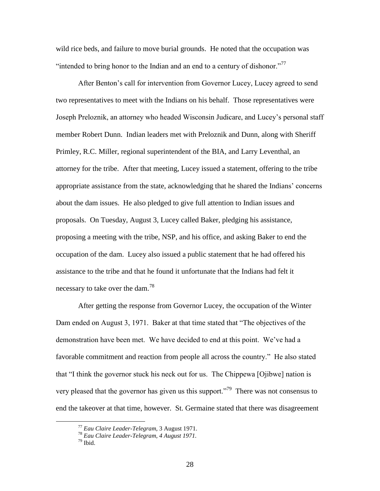wild rice beds, and failure to move burial grounds. He noted that the occupation was "intended to bring honor to the Indian and an end to a century of dishonor."<sup>77</sup>

After Benton"s call for intervention from Governor Lucey, Lucey agreed to send two representatives to meet with the Indians on his behalf. Those representatives were Joseph Preloznik, an attorney who headed Wisconsin Judicare, and Lucey"s personal staff member Robert Dunn. Indian leaders met with Preloznik and Dunn, along with Sheriff Primley, R.C. Miller, regional superintendent of the BIA, and Larry Leventhal, an attorney for the tribe. After that meeting, Lucey issued a statement, offering to the tribe appropriate assistance from the state, acknowledging that he shared the Indians" concerns about the dam issues. He also pledged to give full attention to Indian issues and proposals. On Tuesday, August 3, Lucey called Baker, pledging his assistance, proposing a meeting with the tribe, NSP, and his office, and asking Baker to end the occupation of the dam. Lucey also issued a public statement that he had offered his assistance to the tribe and that he found it unfortunate that the Indians had felt it necessary to take over the dam.<sup>78</sup>

After getting the response from Governor Lucey, the occupation of the Winter Dam ended on August 3, 1971. Baker at that time stated that "The objectives of the demonstration have been met. We have decided to end at this point. We"ve had a favorable commitment and reaction from people all across the country." He also stated that "I think the governor stuck his neck out for us. The Chippewa [Ojibwe] nation is very pleased that the governor has given us this support."<sup>79</sup> There was not consensus to end the takeover at that time, however. St. Germaine stated that there was disagreement

<sup>77</sup> *Eau Claire Leader-Telegram*, 3 August 1971.

<sup>78</sup> *Eau Claire Leader-Telegram, 4 August 1971.*

<sup>79</sup> Ibid.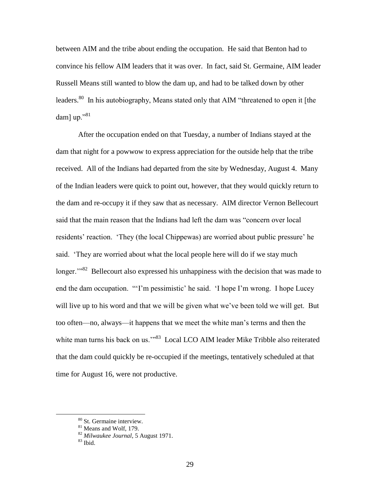between AIM and the tribe about ending the occupation. He said that Benton had to convince his fellow AIM leaders that it was over. In fact, said St. Germaine, AIM leader Russell Means still wanted to blow the dam up, and had to be talked down by other leaders.<sup>80</sup> In his autobiography, Means stated only that AIM "threatened to open it [the dam] up." $81$ 

After the occupation ended on that Tuesday, a number of Indians stayed at the dam that night for a powwow to express appreciation for the outside help that the tribe received. All of the Indians had departed from the site by Wednesday, August 4. Many of the Indian leaders were quick to point out, however, that they would quickly return to the dam and re-occupy it if they saw that as necessary. AIM director Vernon Bellecourt said that the main reason that the Indians had left the dam was "concern over local residents' reaction. 'They (the local Chippewas) are worried about public pressure' he said. "They are worried about what the local people here will do if we stay much longer."<sup>82</sup> Bellecourt also expressed his unhappiness with the decision that was made to end the dam occupation. ""I'm pessimistic' he said. "I hope I'm wrong. I hope Lucey will live up to his word and that we will be given what we've been told we will get. But too often—no, always—it happens that we meet the white man"s terms and then the white man turns his back on us."<sup>83</sup> Local LCO AIM leader Mike Tribble also reiterated that the dam could quickly be re-occupied if the meetings, tentatively scheduled at that time for August 16, were not productive.

<sup>80</sup> St. Germaine interview.

<sup>&</sup>lt;sup>81</sup> Means and Wolf, 179.

<sup>82</sup> *Milwaukee Journal*, 5 August 1971.

 $83$  Ibid.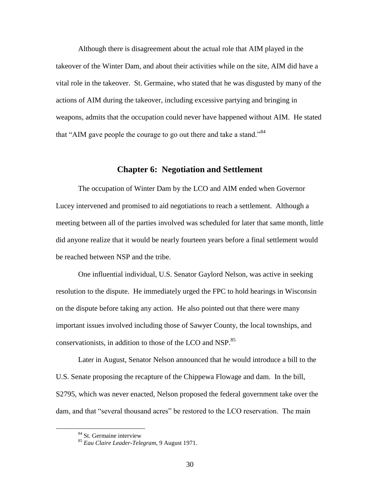Although there is disagreement about the actual role that AIM played in the takeover of the Winter Dam, and about their activities while on the site, AIM did have a vital role in the takeover. St. Germaine, who stated that he was disgusted by many of the actions of AIM during the takeover, including excessive partying and bringing in weapons, admits that the occupation could never have happened without AIM. He stated that "AIM gave people the courage to go out there and take a stand."<sup>84</sup>

### **Chapter 6: Negotiation and Settlement**

The occupation of Winter Dam by the LCO and AIM ended when Governor Lucey intervened and promised to aid negotiations to reach a settlement. Although a meeting between all of the parties involved was scheduled for later that same month, little did anyone realize that it would be nearly fourteen years before a final settlement would be reached between NSP and the tribe.

One influential individual, U.S. Senator Gaylord Nelson, was active in seeking resolution to the dispute. He immediately urged the FPC to hold hearings in Wisconsin on the dispute before taking any action. He also pointed out that there were many important issues involved including those of Sawyer County, the local townships, and conservationists, in addition to those of the LCO and NSP.<sup>85</sup>

Later in August, Senator Nelson announced that he would introduce a bill to the U.S. Senate proposing the recapture of the Chippewa Flowage and dam. In the bill, S2795, which was never enacted, Nelson proposed the federal government take over the dam, and that "several thousand acres" be restored to the LCO reservation. The main

<sup>&</sup>lt;sup>84</sup> St. Germaine interview

<sup>85</sup> *Eau Claire Leader-Telegram*, 9 August 1971.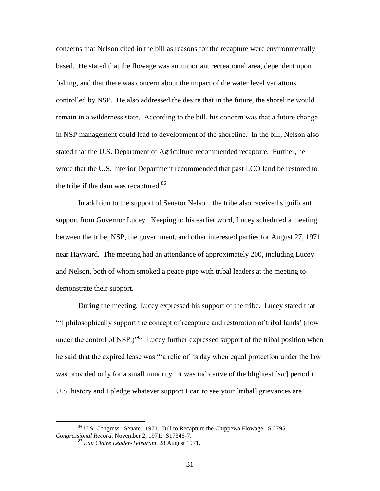concerns that Nelson cited in the bill as reasons for the recapture were environmentally based. He stated that the flowage was an important recreational area, dependent upon fishing, and that there was concern about the impact of the water level variations controlled by NSP. He also addressed the desire that in the future, the shoreline would remain in a wilderness state. According to the bill, his concern was that a future change in NSP management could lead to development of the shoreline. In the bill, Nelson also stated that the U.S. Department of Agriculture recommended recapture. Further, he wrote that the U.S. Interior Department recommended that past LCO land be restored to the tribe if the dam was recaptured.<sup>86</sup>

In addition to the support of Senator Nelson, the tribe also received significant support from Governor Lucey. Keeping to his earlier word, Lucey scheduled a meeting between the tribe, NSP, the government, and other interested parties for August 27, 1971 near Hayward. The meeting had an attendance of approximately 200, including Lucey and Nelson, both of whom smoked a peace pipe with tribal leaders at the meeting to demonstrate their support.

During the meeting, Lucey expressed his support of the tribe. Lucey stated that ""I philosophically support the concept of recapture and restoration of tribal lands" (now under the control of NSP.) $v^{87}$  Lucey further expressed support of the tribal position when he said that the expired lease was ""a relic of its day when equal protection under the law was provided only for a small minority. It was indicative of the blightest [*sic*] period in U.S. history and I pledge whatever support I can to see your [tribal] grievances are

<sup>86</sup> U.S. Congress. Senate. 1971. Bill to Recapture the Chippewa Flowage. S.2795. *Congressional Record*, November 2, 1971: S17346-7.

<sup>87</sup> *Eau Claire Leader-Telegram*, 28 August 1971.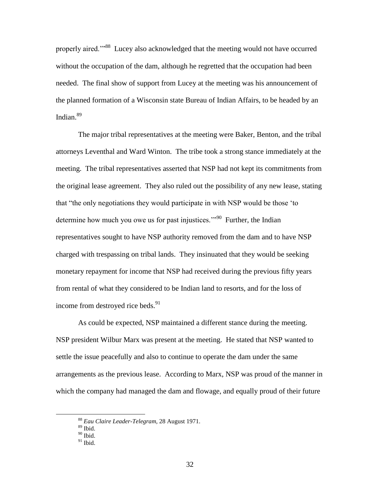properly aired."<sup>88</sup> Lucey also acknowledged that the meeting would not have occurred without the occupation of the dam, although he regretted that the occupation had been needed. The final show of support from Lucey at the meeting was his announcement of the planned formation of a Wisconsin state Bureau of Indian Affairs, to be headed by an Indian. $89$ 

The major tribal representatives at the meeting were Baker, Benton, and the tribal attorneys Leventhal and Ward Winton. The tribe took a strong stance immediately at the meeting. The tribal representatives asserted that NSP had not kept its commitments from the original lease agreement. They also ruled out the possibility of any new lease, stating that "the only negotiations they would participate in with NSP would be those "to determine how much you owe us for past injustices."<sup>90</sup> Further, the Indian representatives sought to have NSP authority removed from the dam and to have NSP charged with trespassing on tribal lands. They insinuated that they would be seeking monetary repayment for income that NSP had received during the previous fifty years from rental of what they considered to be Indian land to resorts, and for the loss of income from destroyed rice beds.<sup>91</sup>

As could be expected, NSP maintained a different stance during the meeting. NSP president Wilbur Marx was present at the meeting. He stated that NSP wanted to settle the issue peacefully and also to continue to operate the dam under the same arrangements as the previous lease. According to Marx, NSP was proud of the manner in which the company had managed the dam and flowage, and equally proud of their future

<sup>88</sup> *Eau Claire Leader-Telegram*, 28 August 1971.

<sup>89</sup> Ibid.

 $90$  Ibid.

 $91$  Ibid.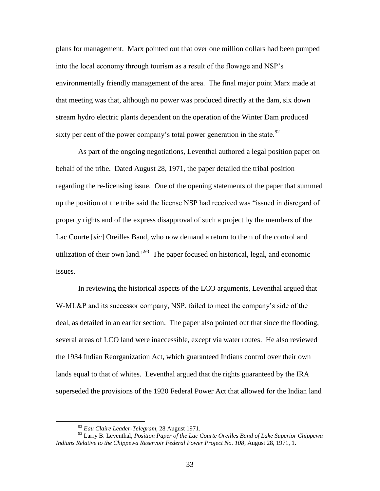plans for management. Marx pointed out that over one million dollars had been pumped into the local economy through tourism as a result of the flowage and NSP"s environmentally friendly management of the area. The final major point Marx made at that meeting was that, although no power was produced directly at the dam, six down stream hydro electric plants dependent on the operation of the Winter Dam produced sixty per cent of the power company's total power generation in the state.<sup>92</sup>

As part of the ongoing negotiations, Leventhal authored a legal position paper on behalf of the tribe. Dated August 28, 1971, the paper detailed the tribal position regarding the re-licensing issue. One of the opening statements of the paper that summed up the position of the tribe said the license NSP had received was "issued in disregard of property rights and of the express disapproval of such a project by the members of the Lac Courte [*sic*] Oreilles Band, who now demand a return to them of the control and utilization of their own land."<sup>93</sup> The paper focused on historical, legal, and economic issues.

In reviewing the historical aspects of the LCO arguments, Leventhal argued that W-ML&P and its successor company, NSP, failed to meet the company's side of the deal, as detailed in an earlier section. The paper also pointed out that since the flooding, several areas of LCO land were inaccessible, except via water routes. He also reviewed the 1934 Indian Reorganization Act, which guaranteed Indians control over their own lands equal to that of whites. Leventhal argued that the rights guaranteed by the IRA superseded the provisions of the 1920 Federal Power Act that allowed for the Indian land

<sup>92</sup> *Eau Claire Leader-Telegram*, 28 August 1971.

<sup>93</sup> Larry B. Leventhal, *Position Paper of the Lac Courte Oreilles Band of Lake Superior Chippewa Indians Relative to the Chippewa Reservoir Federal Power Project No. 108*, August 28, 1971, 1.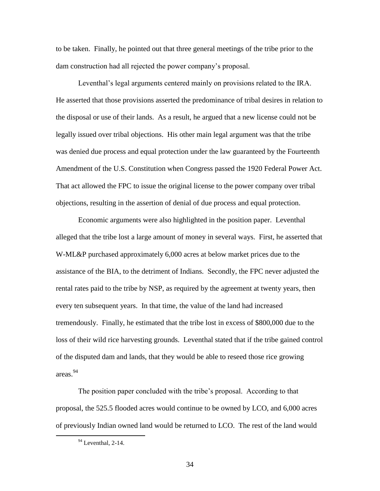to be taken. Finally, he pointed out that three general meetings of the tribe prior to the dam construction had all rejected the power company"s proposal.

Leventhal"s legal arguments centered mainly on provisions related to the IRA. He asserted that those provisions asserted the predominance of tribal desires in relation to the disposal or use of their lands. As a result, he argued that a new license could not be legally issued over tribal objections. His other main legal argument was that the tribe was denied due process and equal protection under the law guaranteed by the Fourteenth Amendment of the U.S. Constitution when Congress passed the 1920 Federal Power Act. That act allowed the FPC to issue the original license to the power company over tribal objections, resulting in the assertion of denial of due process and equal protection.

Economic arguments were also highlighted in the position paper. Leventhal alleged that the tribe lost a large amount of money in several ways. First, he asserted that W-ML&P purchased approximately 6,000 acres at below market prices due to the assistance of the BIA, to the detriment of Indians. Secondly, the FPC never adjusted the rental rates paid to the tribe by NSP, as required by the agreement at twenty years, then every ten subsequent years. In that time, the value of the land had increased tremendously. Finally, he estimated that the tribe lost in excess of \$800,000 due to the loss of their wild rice harvesting grounds. Leventhal stated that if the tribe gained control of the disputed dam and lands, that they would be able to reseed those rice growing areas.<sup>94</sup>

The position paper concluded with the tribe"s proposal. According to that proposal, the 525.5 flooded acres would continue to be owned by LCO, and 6,000 acres of previously Indian owned land would be returned to LCO. The rest of the land would

 $94$  Leventhal, 2-14.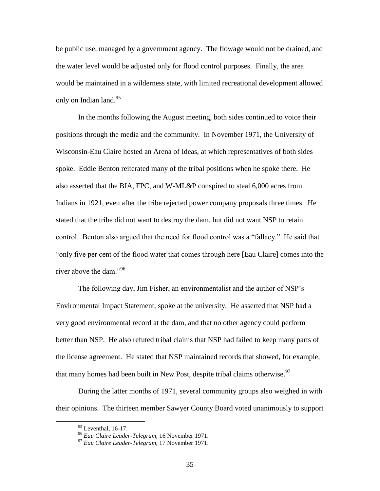be public use, managed by a government agency. The flowage would not be drained, and the water level would be adjusted only for flood control purposes. Finally, the area would be maintained in a wilderness state, with limited recreational development allowed only on Indian land.<sup>95</sup>

In the months following the August meeting, both sides continued to voice their positions through the media and the community. In November 1971, the University of Wisconsin-Eau Claire hosted an Arena of Ideas, at which representatives of both sides spoke. Eddie Benton reiterated many of the tribal positions when he spoke there. He also asserted that the BIA, FPC, and W-ML&P conspired to steal 6,000 acres from Indians in 1921, even after the tribe rejected power company proposals three times. He stated that the tribe did not want to destroy the dam, but did not want NSP to retain control. Benton also argued that the need for flood control was a "fallacy." He said that "only five per cent of the flood water that comes through here [Eau Claire] comes into the river above the dam."<sup>96</sup>

The following day, Jim Fisher, an environmentalist and the author of NSP"s Environmental Impact Statement, spoke at the university. He asserted that NSP had a very good environmental record at the dam, and that no other agency could perform better than NSP. He also refuted tribal claims that NSP had failed to keep many parts of the license agreement. He stated that NSP maintained records that showed, for example, that many homes had been built in New Post, despite tribal claims otherwise.<sup>97</sup>

During the latter months of 1971, several community groups also weighed in with their opinions. The thirteen member Sawyer County Board voted unanimously to support

 $95$  Leventhal, 16-17.

<sup>96</sup> *Eau Claire Leader-Telegram,* 16 November 1971.

<sup>97</sup> *Eau Claire Leader-Telegram*, 17 November 1971.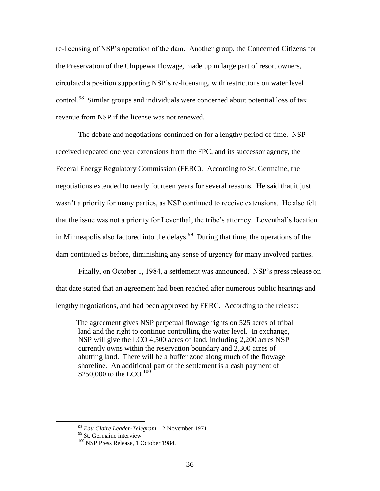re-licensing of NSP"s operation of the dam. Another group, the Concerned Citizens for the Preservation of the Chippewa Flowage, made up in large part of resort owners, circulated a position supporting NSP"s re-licensing, with restrictions on water level control.<sup>98</sup> Similar groups and individuals were concerned about potential loss of tax revenue from NSP if the license was not renewed.

The debate and negotiations continued on for a lengthy period of time. NSP received repeated one year extensions from the FPC, and its successor agency, the Federal Energy Regulatory Commission (FERC). According to St. Germaine, the negotiations extended to nearly fourteen years for several reasons. He said that it just wasn"t a priority for many parties, as NSP continued to receive extensions. He also felt that the issue was not a priority for Leventhal, the tribe"s attorney. Leventhal"s location in Minneapolis also factored into the delays.<sup>99</sup> During that time, the operations of the dam continued as before, diminishing any sense of urgency for many involved parties.

Finally, on October 1, 1984, a settlement was announced. NSP's press release on that date stated that an agreement had been reached after numerous public hearings and lengthy negotiations, and had been approved by FERC. According to the release:

 The agreement gives NSP perpetual flowage rights on 525 acres of tribal land and the right to continue controlling the water level. In exchange, NSP will give the LCO 4,500 acres of land, including 2,200 acres NSP currently owns within the reservation boundary and 2,300 acres of abutting land. There will be a buffer zone along much of the flowage shoreline. An additional part of the settlement is a cash payment of \$250,000 to the LCO.<sup>100</sup>

<sup>98</sup> *Eau Claire Leader-Telegram*, 12 November 1971.

<sup>&</sup>lt;sup>99</sup> St. Germaine interview.

<sup>&</sup>lt;sup>100</sup> NSP Press Release, 1 October 1984.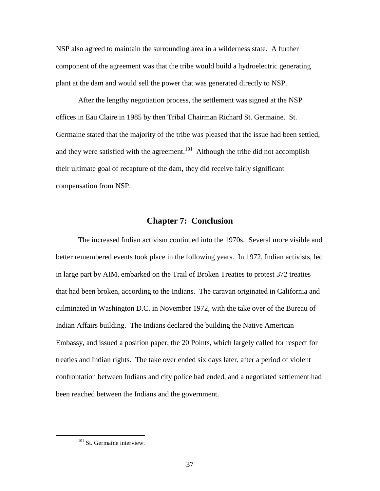NSP also agreed to maintain the surrounding area in a wilderness state. A further component of the agreement was that the tribe would build a hydroelectric generating plant at the dam and would sell the power that was generated directly to NSP.

After the lengthy negotiation process, the settlement was signed at the NSP offices in Eau Claire in 1985 by then Tribal Chairman Richard St. Germaine. St. Germaine stated that the majority of the tribe was pleased that the issue had been settled, and they were satisfied with the agreement.<sup>101</sup> Although the tribe did not accomplish their ultimate goal of recapture of the dam, they did receive fairly significant compensation from NSP.

# **Chapter 7: Conclusion**

The increased Indian activism continued into the 1970s. Several more visible and better remembered events took place in the following years. In 1972, Indian activists, led in large part by AIM, embarked on the Trail of Broken Treaties to protest 372 treaties that had been broken, according to the Indians. The caravan originated in California and culminated in Washington D.C. in November 1972, with the take over of the Bureau of Indian Affairs building. The Indians declared the building the Native American Embassy, and issued a position paper, the 20 Points, which largely called for respect for treaties and Indian rights. The take over ended six days later, after a period of violent confrontation between Indians and city police had ended, and a negotiated settlement had been reached between the Indians and the government.

<sup>&</sup>lt;sup>101</sup> St. Germaine interview.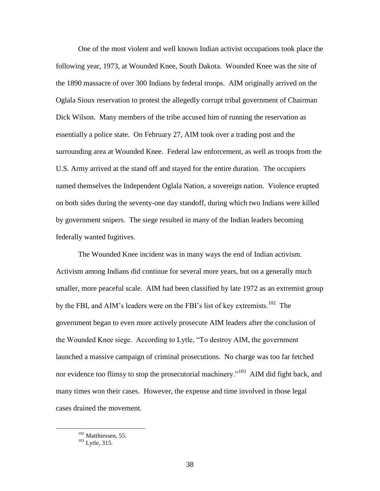One of the most violent and well known Indian activist occupations took place the following year, 1973, at Wounded Knee, South Dakota. Wounded Knee was the site of the 1890 massacre of over 300 Indians by federal troops. AIM originally arrived on the Oglala Sioux reservation to protest the allegedly corrupt tribal government of Chairman Dick Wilson. Many members of the tribe accused him of running the reservation as essentially a police state. On February 27, AIM took over a trading post and the surrounding area at Wounded Knee. Federal law enforcement, as well as troops from the U.S. Army arrived at the stand off and stayed for the entire duration. The occupiers named themselves the Independent Oglala Nation, a sovereign nation. Violence erupted on both sides during the seventy-one day standoff, during which two Indians were killed by government snipers. The siege resulted in many of the Indian leaders becoming federally wanted fugitives.

The Wounded Knee incident was in many ways the end of Indian activism. Activism among Indians did continue for several more years, but on a generally much smaller, more peaceful scale. AIM had been classified by late 1972 as an extremist group by the FBI, and AIM's leaders were on the FBI's list of key extremists.<sup>102</sup> The government began to even more actively prosecute AIM leaders after the conclusion of the Wounded Knee siege. According to Lytle, "To destroy AIM, the government launched a massive campaign of criminal prosecutions. No charge was too far fetched nor evidence too flimsy to stop the prosecutorial machinery."<sup>103</sup> AIM did fight back, and many times won their cases. However, the expense and time involved in those legal cases drained the movement.

<sup>&</sup>lt;sup>102</sup> Matthiessen, 55.

<sup>103</sup> Lytle, 315.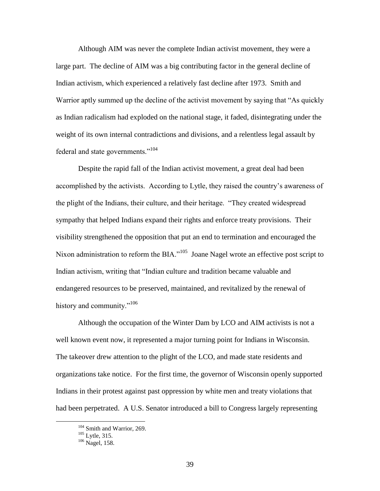Although AIM was never the complete Indian activist movement, they were a large part. The decline of AIM was a big contributing factor in the general decline of Indian activism, which experienced a relatively fast decline after 1973. Smith and Warrior aptly summed up the decline of the activist movement by saying that "As quickly as Indian radicalism had exploded on the national stage, it faded, disintegrating under the weight of its own internal contradictions and divisions, and a relentless legal assault by federal and state governments."<sup>104</sup>

Despite the rapid fall of the Indian activist movement, a great deal had been accomplished by the activists. According to Lytle, they raised the country"s awareness of the plight of the Indians, their culture, and their heritage. "They created widespread sympathy that helped Indians expand their rights and enforce treaty provisions. Their visibility strengthened the opposition that put an end to termination and encouraged the Nixon administration to reform the BIA."<sup>105</sup> Joane Nagel wrote an effective post script to Indian activism, writing that "Indian culture and tradition became valuable and endangered resources to be preserved, maintained, and revitalized by the renewal of history and community."<sup>106</sup>

Although the occupation of the Winter Dam by LCO and AIM activists is not a well known event now, it represented a major turning point for Indians in Wisconsin. The takeover drew attention to the plight of the LCO, and made state residents and organizations take notice. For the first time, the governor of Wisconsin openly supported Indians in their protest against past oppression by white men and treaty violations that had been perpetrated. A U.S. Senator introduced a bill to Congress largely representing

<sup>&</sup>lt;sup>104</sup> Smith and Warrior, 269.

 $105$  Lytle, 315.

<sup>106</sup> Nagel, 158.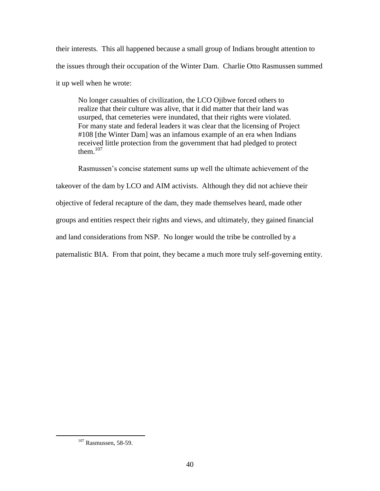their interests. This all happened because a small group of Indians brought attention to the issues through their occupation of the Winter Dam. Charlie Otto Rasmussen summed it up well when he wrote:

 No longer casualties of civilization, the LCO Ojibwe forced others to realize that their culture was alive, that it did matter that their land was usurped, that cemeteries were inundated, that their rights were violated. For many state and federal leaders it was clear that the licensing of Project #108 [the Winter Dam] was an infamous example of an era when Indians received little protection from the government that had pledged to protect them. $107$ 

Rasmussen's concise statement sums up well the ultimate achievement of the takeover of the dam by LCO and AIM activists. Although they did not achieve their objective of federal recapture of the dam, they made themselves heard, made other groups and entities respect their rights and views, and ultimately, they gained financial and land considerations from NSP. No longer would the tribe be controlled by a paternalistic BIA. From that point, they became a much more truly self-governing entity.

<sup>107</sup> Rasmussen, 58-59.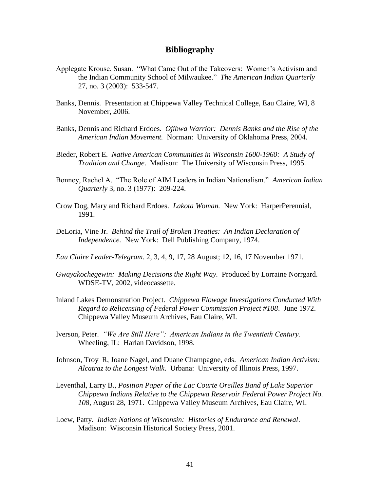### **Bibliography**

- Applegate Krouse, Susan. "What Came Out of the Takeovers: Women"s Activism and the Indian Community School of Milwaukee." *The American Indian Quarterly* 27, no. 3 (2003): 533-547.
- Banks, Dennis. Presentation at Chippewa Valley Technical College, Eau Claire, WI, 8 November, 2006.
- Banks, Dennis and Richard Erdoes. *Ojibwa Warrior: Dennis Banks and the Rise of the American Indian Movement.* Norman: University of Oklahoma Press, 2004.
- Bieder, Robert E. *Native American Communities in Wisconsin 1600-1960: A Study of Tradition and Change*. Madison: The University of Wisconsin Press, 1995.
- Bonney, Rachel A. "The Role of AIM Leaders in Indian Nationalism." *American Indian Quarterly* 3, no. 3 (1977): 209-224.
- Crow Dog, Mary and Richard Erdoes. *Lakota Woman.* New York: HarperPerennial, 1991.
- DeLoria, Vine Jr. *Behind the Trail of Broken Treaties: An Indian Declaration of Independence.* New York: Dell Publishing Company, 1974.
- *Eau Claire Leader-Telegram*. 2, 3, 4, 9, 17, 28 August; 12, 16, 17 November 1971.
- *Gwayakochegewin: Making Decisions the Right Way.* Produced by Lorraine Norrgard. WDSE-TV, 2002, videocassette.
- Inland Lakes Demonstration Project. *Chippewa Flowage Investigations Conducted With Regard to Relicensing of Federal Power Commission Project #108*. June 1972. Chippewa Valley Museum Archives, Eau Claire, WI.
- Iverson, Peter. *"We Are Still Here": American Indians in the Twentieth Century.* Wheeling, IL: Harlan Davidson, 1998.
- Johnson, Troy R, Joane Nagel, and Duane Champagne, eds. *American Indian Activism: Alcatraz to the Longest Walk*. Urbana: University of Illinois Press, 1997.
- Leventhal, Larry B., *Position Paper of the Lac Courte Oreilles Band of Lake Superior Chippewa Indians Relative to the Chippewa Reservoir Federal Power Project No. 108*, August 28, 1971. Chippewa Valley Museum Archives, Eau Claire, WI.
- Loew, Patty. *Indian Nations of Wisconsin: Histories of Endurance and Renewal*. Madison: Wisconsin Historical Society Press, 2001.